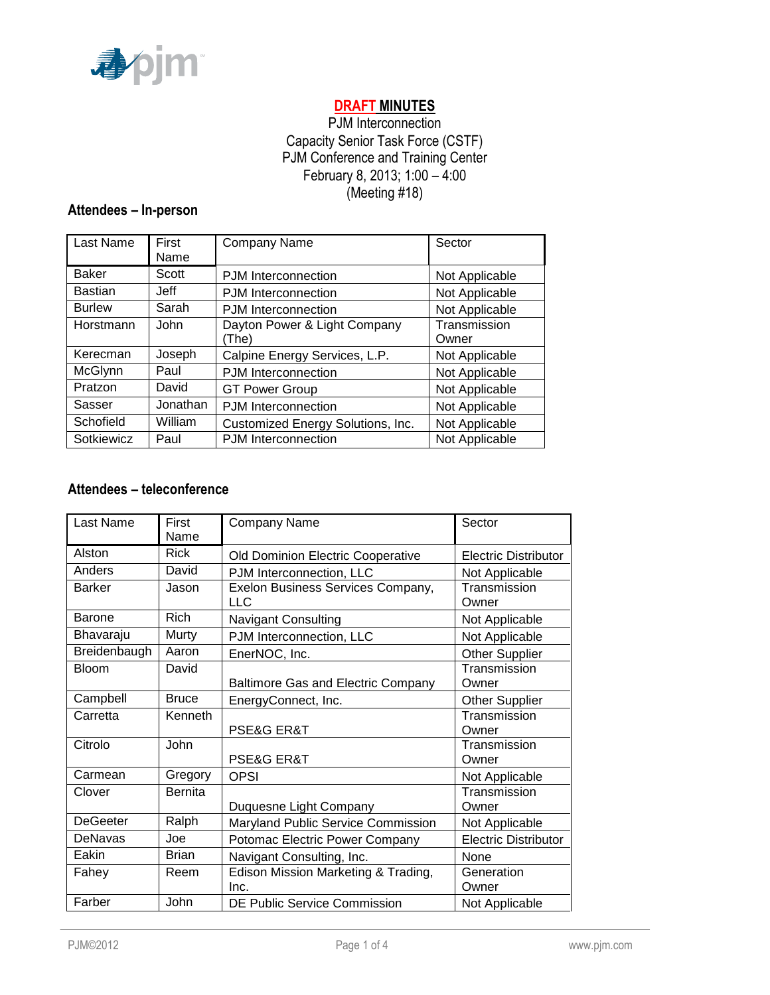

# **DRAFT MINUTES**

# PJM Interconnection Capacity Senior Task Force (CSTF) PJM Conference and Training Center February 8, 2013; 1:00 – 4:00 (Meeting #18)

# **Attendees – In-person**

| Last Name      | First<br>Name | Company Name                          | Sector                |
|----------------|---------------|---------------------------------------|-----------------------|
| <b>Baker</b>   | Scott         | PJM Interconnection                   | Not Applicable        |
| <b>Bastian</b> | Jeff          | PJM Interconnection                   | Not Applicable        |
| <b>Burlew</b>  | Sarah         | PJM Interconnection                   | Not Applicable        |
| Horstmann      | John          | Dayton Power & Light Company<br>(The) | Transmission<br>Owner |
| Kerecman       | Joseph        | Calpine Energy Services, L.P.         | Not Applicable        |
| McGlynn        | Paul          | PJM Interconnection                   | Not Applicable        |
| Pratzon        | David         | <b>GT Power Group</b>                 | Not Applicable        |
| Sasser         | Jonathan      | PJM Interconnection                   | Not Applicable        |
| Schofield      | William       | Customized Energy Solutions, Inc.     | Not Applicable        |
| Sotkiewicz     | Paul          | <b>PJM</b> Interconnection            | Not Applicable        |

## **Attendees – teleconference**

| Last Name       | First<br>Name | <b>Company Name</b>                             | Sector                      |
|-----------------|---------------|-------------------------------------------------|-----------------------------|
| Alston          | <b>Rick</b>   | Old Dominion Electric Cooperative               | <b>Electric Distributor</b> |
| Anders          | David         | PJM Interconnection, LLC                        | Not Applicable              |
| <b>Barker</b>   | Jason         | Exelon Business Services Company,<br><b>LLC</b> | Transmission<br>Owner       |
| <b>Barone</b>   | <b>Rich</b>   | <b>Navigant Consulting</b>                      | Not Applicable              |
| Bhavaraju       | Murty         | PJM Interconnection, LLC                        | Not Applicable              |
| Breidenbaugh    | Aaron         | EnerNOC, Inc.                                   | <b>Other Supplier</b>       |
| <b>Bloom</b>    | David         | <b>Baltimore Gas and Electric Company</b>       | Transmission<br>Owner       |
| Campbell        | <b>Bruce</b>  | EnergyConnect, Inc.                             | <b>Other Supplier</b>       |
| Carretta        | Kenneth       | PSE&G ER&T                                      | Transmission<br>Owner       |
| Citrolo         | John          | PSE&G ER&T                                      | Transmission<br>Owner       |
| Carmean         | Gregory       | <b>OPSI</b>                                     | Not Applicable              |
| Clover          | Bernita       | Duquesne Light Company                          | Transmission<br>Owner       |
| <b>DeGeeter</b> | Ralph         | Maryland Public Service Commission              | Not Applicable              |
| <b>DeNavas</b>  | Joe           | Potomac Electric Power Company                  | <b>Electric Distributor</b> |
| Eakin           | Brian         | Navigant Consulting, Inc.                       | None                        |
| Fahey           | Reem          | Edison Mission Marketing & Trading,<br>Inc.     | Generation<br>Owner         |
| Farber          | John          | <b>DE Public Service Commission</b>             | Not Applicable              |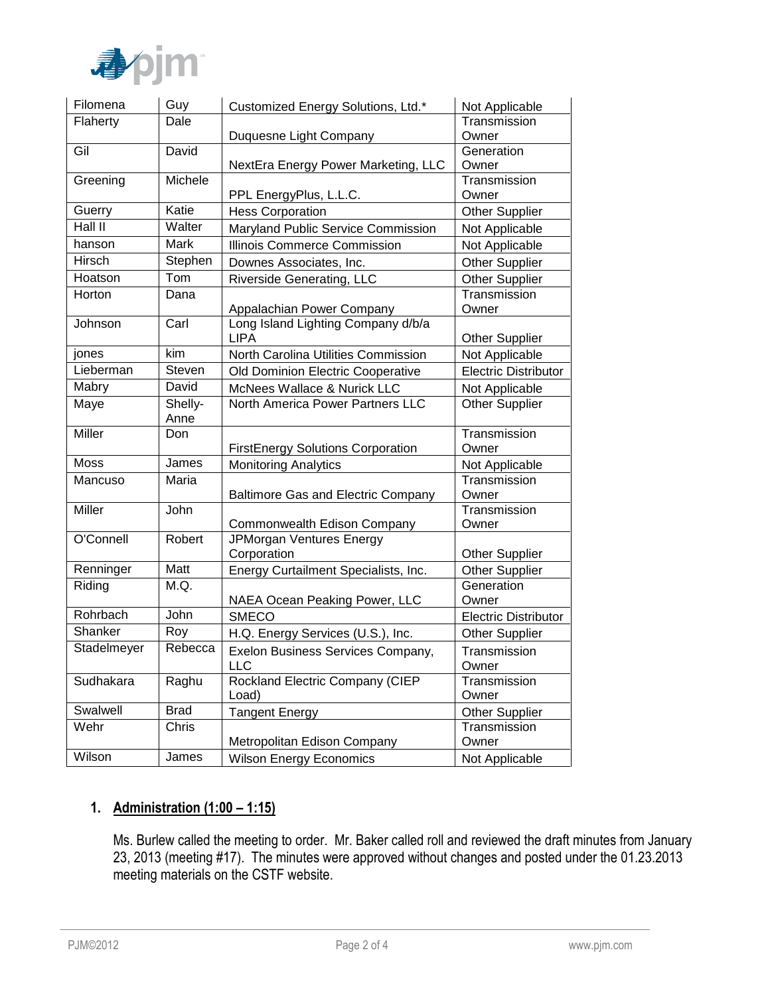

| Filomena      | Guy           | Customized Energy Solutions, Ltd.*               | Not Applicable              |
|---------------|---------------|--------------------------------------------------|-----------------------------|
| Flaherty      | Dale          |                                                  | Transmission                |
|               |               | Duquesne Light Company                           | Owner                       |
| Gil           | David         |                                                  | Generation                  |
|               |               | NextEra Energy Power Marketing, LLC              | Owner                       |
| Greening      | Michele       |                                                  | Transmission                |
|               |               | PPL EnergyPlus, L.L.C.                           | Owner                       |
| Guerry        | Katie         | <b>Hess Corporation</b>                          | <b>Other Supplier</b>       |
| Hall II       | Walter        | Maryland Public Service Commission               | Not Applicable              |
| hanson        | Mark          | <b>Illinois Commerce Commission</b>              | Not Applicable              |
| <b>Hirsch</b> | Stephen       | Downes Associates, Inc.                          | Other Supplier              |
| Hoatson       | Tom           | <b>Riverside Generating, LLC</b>                 | <b>Other Supplier</b>       |
| Horton        | Dana          |                                                  | Transmission                |
|               |               | Appalachian Power Company                        | Owner                       |
| Johnson       | Carl          | Long Island Lighting Company d/b/a               |                             |
|               |               | <b>LIPA</b>                                      | <b>Other Supplier</b>       |
| jones         | kim           | North Carolina Utilities Commission              | Not Applicable              |
| Lieberman     | <b>Steven</b> | Old Dominion Electric Cooperative                | <b>Electric Distributor</b> |
| Mabry         | David         | <b>McNees Wallace &amp; Nurick LLC</b>           | Not Applicable              |
| Maye          | Shelly-       | North America Power Partners LLC                 | Other Supplier              |
|               | Anne          |                                                  |                             |
| Miller        | Don           |                                                  | Transmission                |
|               |               | <b>FirstEnergy Solutions Corporation</b>         | Owner                       |
| <b>Moss</b>   | James         | <b>Monitoring Analytics</b>                      | Not Applicable              |
| Mancuso       | Maria         |                                                  | Transmission                |
|               |               | <b>Baltimore Gas and Electric Company</b>        | Owner                       |
| Miller        | John          |                                                  | Transmission                |
| O'Connell     | Robert        | Commonwealth Edison Company                      | Owner                       |
|               |               | JPMorgan Ventures Energy<br>Corporation          | <b>Other Supplier</b>       |
| Renninger     | Matt          | Energy Curtailment Specialists, Inc.             | <b>Other Supplier</b>       |
| Riding        | M.Q.          |                                                  | Generation                  |
|               |               | NAEA Ocean Peaking Power, LLC                    | Owner                       |
| Rohrbach      | John          | <b>SMECO</b>                                     | <b>Electric Distributor</b> |
| Shanker       | Roy           | H.Q. Energy Services (U.S.), Inc.                | <b>Other Supplier</b>       |
| Stadelmeyer   | Rebecca       |                                                  |                             |
|               |               | Exelon Business Services Company,<br>LLC         | Transmission                |
| Sudhakara     | Raghu         | Rockland Electric Company (CIEP                  | Owner<br>Transmission       |
|               |               | Load)                                            | Owner                       |
| Swalwell      | <b>Brad</b>   | <b>Tangent Energy</b>                            | <b>Other Supplier</b>       |
| Wehr          | Chris         |                                                  | Transmission                |
|               |               | Metropolitan Edison Company                      | Owner                       |
| Wilson        | James         |                                                  |                             |
|               |               | <b>Wilson Energy Economics</b><br>Not Applicable |                             |

# **1. Administration (1:00 – 1:15)**

Ms. Burlew called the meeting to order. Mr. Baker called roll and reviewed the draft minutes from January 23, 2013 (meeting #17). The minutes were approved without changes and posted under the 01.23.2013 meeting materials on the CSTF website.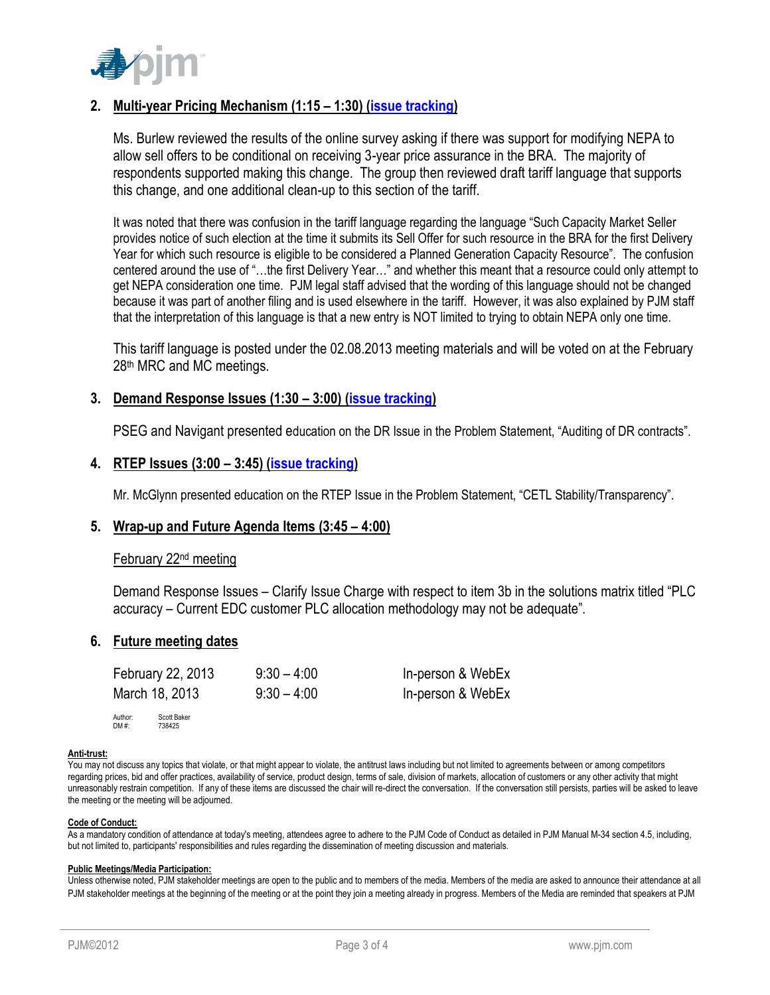

# **2. Multi-year Pricing Mechanism (1:15 – 1:30) [\(issue tracking\)](http://www.pjm.com/committees-and-groups/issue-tracking/issue-tracking-details.aspx?Issue=%7bB709F188-450F-4A06-A5EB-BD61B601C9EF%7d)**

Ms. Burlew reviewed the results of the online survey asking if there was support for modifying NEPA to allow sell offers to be conditional on receiving 3-year price assurance in the BRA. The majority of respondents supported making this change. The group then reviewed draft tariff language that supports this change, and one additional clean-up to this section of the tariff.

It was noted that there was confusion in the tariff language regarding the language "Such Capacity Market Seller provides notice of such election at the time it submits its Sell Offer for such resource in the BRA for the first Delivery Year for which such resource is eligible to be considered a Planned Generation Capacity Resource". The confusion centered around the use of "…the first Delivery Year…" and whether this meant that a resource could only attempt to get NEPA consideration one time. PJM legal staff advised that the wording of this language should not be changed because it was part of another filing and is used elsewhere in the tariff. However, it was also explained by PJM staff that the interpretation of this language is that a new entry is NOT limited to trying to obtain NEPA only one time.

This tariff language is posted under the 02.08.2013 meeting materials and will be voted on at the February 28<sup>th</sup> MRC and MC meetings.

## **3. Demand Response Issues (1:30 – 3:00) [\(issue tracking\)](http://www.pjm.com/committees-and-groups/issue-tracking/issue-tracking-details.aspx?Issue=%7b4777F504-03E3-4293-AF53-9AE91A2AB0A6%7d)**

PSEG and Navigant presented education on the DR Issue in the Problem Statement, "Auditing of DR contracts".

## **4. RTEP Issues (3:00 – 3:45) [\(issue tracking\)](http://www.pjm.com/committees-and-groups/issue-tracking/issue-tracking-details.aspx?Issue=%7bBB8F79E5-1004-41BD-9AC0-BB59FF349CA8%7d)**

Mr. McGlynn presented education on the RTEP Issue in the Problem Statement, "CETL Stability/Transparency".

### **5. Wrap-up and Future Agenda Items (3:45 – 4:00)**

#### February 22nd meeting

Demand Response Issues – Clarify Issue Charge with respect to item 3b in the solutions matrix titled "PLC accuracy – Current EDC customer PLC allocation methodology may not be adequate".

### **6. Future meeting dates**

| February 22, 2013 | $9:30 - 4:00$ | In-person & WebEx |
|-------------------|---------------|-------------------|
| March 18, 2013    | $9:30 - 4:00$ | In-person & WebEx |
| $A = A$<br>0.1401 |               |                   |

Author: Scott Baker DM #: 738425

#### **Anti-trust:**

You may not discuss any topics that violate, or that might appear to violate, the antitrust laws including but not limited to agreements between or among competitors regarding prices, bid and offer practices, availability of service, product design, terms of sale, division of markets, allocation of customers or any other activity that might unreasonably restrain competition. If any of these items are discussed the chair will re-direct the conversation. If the conversation still persists, parties will be asked to leave the meeting or the meeting will be adjourned.

#### **Code of Conduct:**

As a mandatory condition of attendance at today's meeting, attendees agree to adhere to the PJM Code of Conduct as detailed in PJM Manual M-34 section 4.5, including, but not limited to, participants' responsibilities and rules regarding the dissemination of meeting discussion and materials.

#### **Public Meetings/Media Participation:**

Unless otherwise noted, PJM stakeholder meetings are open to the public and to members of the media. Members of the media are asked to announce their attendance at all PJM stakeholder meetings at the beginning of the meeting or at the point they join a meeting already in progress. Members of the Media are reminded that speakers at PJM